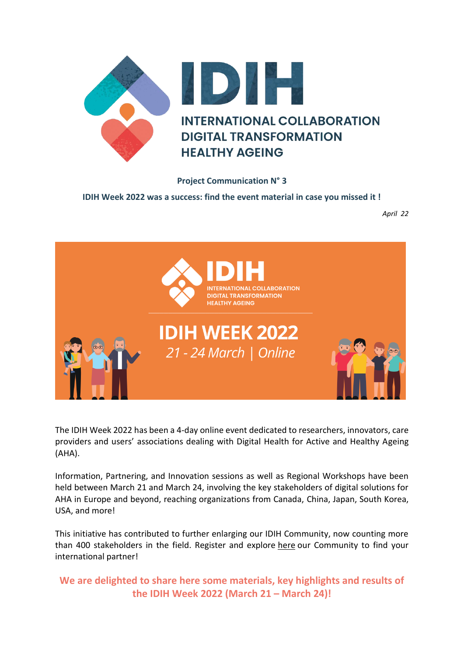

## **Project Communication N° 3**

**IDIH Week 2022 was a success: find the event material in case you missed it !**

*April 22*



The IDIH Week 2022 has been a 4-day online event dedicated to researchers, innovators, care providers and users' associations dealing with Digital Health for Active and Healthy Ageing (AHA).

Information, Partnering, and Innovation sessions as well as Regional Workshops have been held between March 21 and March 24, involving the key stakeholders of digital solutions for AHA in Europe and beyond, reaching organizations from Canada, China, Japan, South Korea, USA, and more!

This initiative has contributed to further enlarging our IDIH Community, now counting more than 400 stakeholders in the field. Register and explore [here](https://health-innovation-community-platform.b2match.io/participants) our Community to find your international partner!

**We are delighted to share here some materials, key highlights and results of the IDIH Week 2022 (March 21 – March 24)!**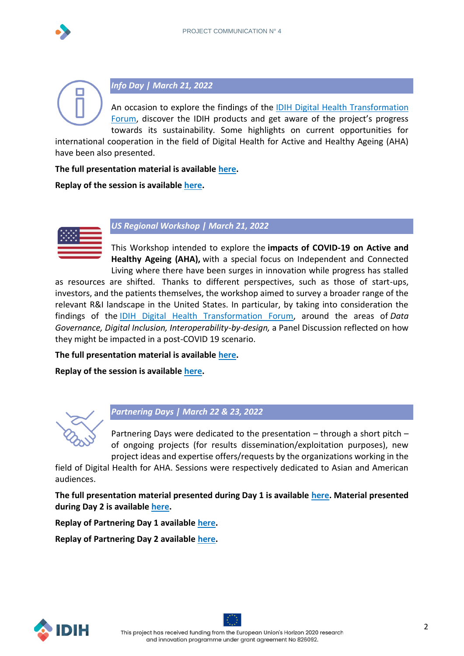



*Info Day | March 21, 2022*

An occasion to explore the findings of the [IDIH Digital Health Transformation](https://idih-global.eu/expert-groups/)  [Forum](https://idih-global.eu/expert-groups/), discover the IDIH products and get aware of the project's progress towards its sustainability. Some highlights on current opportunities for

international cooperation in the field of Digital Health for Active and Healthy Ageing (AHA) have been also presented.

**The full presentation material is available [here.](https://idih-global.eu/wp-content/uploads/2022/03/Info-Day_presentations.pdf)**

**Replay of the session is available [here.](https://youtu.be/fmlkmQ1LUrY)**



*US Regional Workshop | March 21, 2022*

This Workshop intended to explore the **impacts of COVID-19 on Active and Healthy Ageing (AHA),** with a special focus on Independent and Connected Living where there have been surges in innovation while progress has stalled

as resources are shifted. Thanks to different perspectives, such as those of start-ups, investors, and the patients themselves, the workshop aimed to survey a broader range of the relevant R&I landscape in the United States. In particular, by taking into consideration the findings of the [IDIH Digital Health Transformation Forum,](https://idih-global.eu/expert-groups/) around the areas of *Data Governance, Digital Inclusion, Interoperability-by-design,* a Panel Discussion reflected on how they might be impacted in a post-COVID 19 scenario.

**The full presentation material is available [here.](https://idih-global.eu/wp-content/uploads/2022/04/US-Regional-Workshop-PPT-Priorities-for-Notes-formatted.pdf)**

**Replay of the session is available [here.](https://youtu.be/8_WlRXmlXXA)**



*Partnering Days | March 22 & 23, 2022*

Partnering Days were dedicated to the presentation – through a short pitch – of ongoing projects (for results dissemination/exploitation purposes), new project ideas and expertise offers/requests by the organizations working in the

field of Digital Health for AHA. Sessions were respectively dedicated to Asian and American audiences.

**The full presentation material presented during Day 1 is available [here.](https://idih-global.eu/wp-content/uploads/2022/04/Partnering-Day-1_presentations.pdf) Material presented during Day 2 is available [here.](https://idih-global.eu/wp-content/uploads/2022/04/Partnering-Day-2.pdf)**

**Replay of Partnering Day 1 available [here.](https://youtu.be/3LNguiaHDuE)**

**Replay of Partnering Day 2 available [here.](https://youtu.be/nGGDrFckNMM)**